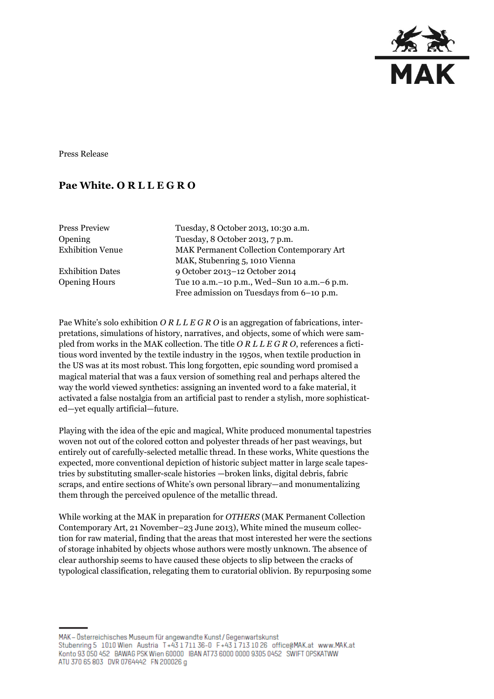

Press Release

## **Pae White. O R L L E G R O**

Press Preview Tuesday, 8 October 2013, 10:30 a.m. Opening Tuesday, 8 October 2013, 7 p.m. Exhibition Venue MAK Permanent Collection Contemporary Art MAK, Stubenring 5, 1010 Vienna Exhibition Dates 9 October 2013–12 October 2014 Opening Hours Tue 10 a.m.–10 p.m., Wed–Sun 10 a.m.–6 p.m. Free admission on Tuesdays from 6–10 p.m.

Pae White's solo exhibition *O R L L E G R O* is an aggregation of fabrications, interpretations, simulations of history, narratives, and objects, some of which were sampled from works in the MAK collection. The title *O R L L E G R O*, references a fictitious word invented by the textile industry in the 1950s, when textile production in the US was at its most robust. This long forgotten, epic sounding word promised a magical material that was a faux version of something real and perhaps altered the way the world viewed synthetics: assigning an invented word to a fake material, it activated a false nostalgia from an artificial past to render a stylish, more sophisticated—yet equally artificial—future.

Playing with the idea of the epic and magical, White produced monumental tapestries woven not out of the colored cotton and polyester threads of her past weavings, but entirely out of carefully-selected metallic thread. In these works, White questions the expected, more conventional depiction of historic subject matter in large scale tapestries by substituting smaller-scale histories —broken links, digital debris, fabric scraps, and entire sections of White's own personal library—and monumentalizing them through the perceived opulence of the metallic thread.

While working at the MAK in preparation for *OTHERS* (MAK Permanent Collection Contemporary Art, 21 November–23 June 2013), White mined the museum collection for raw material, finding that the areas that most interested her were the sections of storage inhabited by objects whose authors were mostly unknown. The absence of clear authorship seems to have caused these objects to slip between the cracks of typological classification, relegating them to curatorial oblivion. By repurposing some

MAK - Österreichisches Museum für angewandte Kunst / Gegenwartskunst Stubenring 5 1010 Wien Austria T+43 1711 36-0 F+43 1713 10 26 office@MAK.at www.MAK.at Konto 93 050 452 BAWAG PSK Wien 60000 BAN AT73 6000 0000 9305 0452 SWIFT OPSKATWW ATU 370 65 803 DVR 0764442 FN 200026 g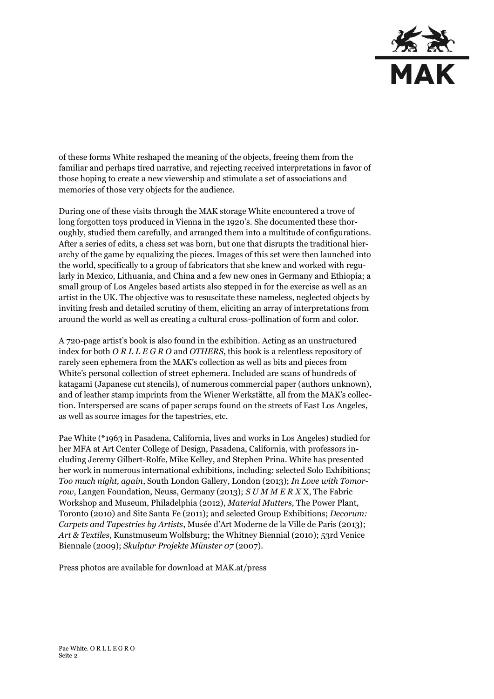

of these forms White reshaped the meaning of the objects, freeing them from the familiar and perhaps tired narrative, and rejecting received interpretations in favor of those hoping to create a new viewership and stimulate a set of associations and memories of those very objects for the audience.

During one of these visits through the MAK storage White encountered a trove of long forgotten toys produced in Vienna in the 1920's. She documented these thoroughly, studied them carefully, and arranged them into a multitude of configurations. After a series of edits, a chess set was born, but one that disrupts the traditional hierarchy of the game by equalizing the pieces. Images of this set were then launched into the world, specifically to a group of fabricators that she knew and worked with regularly in Mexico, Lithuania, and China and a few new ones in Germany and Ethiopia; a small group of Los Angeles based artists also stepped in for the exercise as well as an artist in the UK. The objective was to resuscitate these nameless, neglected objects by inviting fresh and detailed scrutiny of them, eliciting an array of interpretations from around the world as well as creating a cultural cross-pollination of form and color.

A 720-page artist's book is also found in the exhibition. Acting as an unstructured index for both *O R L L E G R O* and *OTHERS*, this book is a relentless repository of rarely seen ephemera from the MAK's collection as well as bits and pieces from White's personal collection of street ephemera. Included are scans of hundreds of katagami (Japanese cut stencils), of numerous commercial paper (authors unknown), and of leather stamp imprints from the Wiener Werkstätte, all from the MAK's collection. Interspersed are scans of paper scraps found on the streets of East Los Angeles, as well as source images for the tapestries, etc.

Pae White (\*1963 in Pasadena, California, lives and works in Los Angeles) studied for her MFA at Art Center College of Design, Pasadena, California, with professors including Jeremy Gilbert-Rolfe, Mike Kelley, and Stephen Prina. White has presented her work in numerous international exhibitions, including: selected Solo Exhibitions; *Too much night, again*, South London Gallery, London (2013); *In Love with Tomorrow*, Langen Foundation, Neuss, Germany (2013); *S U M M E R X* X, The Fabric Workshop and Museum, Philadelphia (2012), *Material Mutters,* The Power Plant, Toronto (2010) and Site Santa Fe (2011); and selected Group Exhibitions; *Decorum: Carpets and Tapestries by Artists*, Musée d'Art Moderne de la Ville de Paris (2013); *Art & Textiles*, Kunstmuseum Wolfsburg; the Whitney Biennial (2010); 53rd Venice Biennale (2009); *Skulptur Projekte Münster 07* (2007).

Press photos are available for download at MAK.at/press